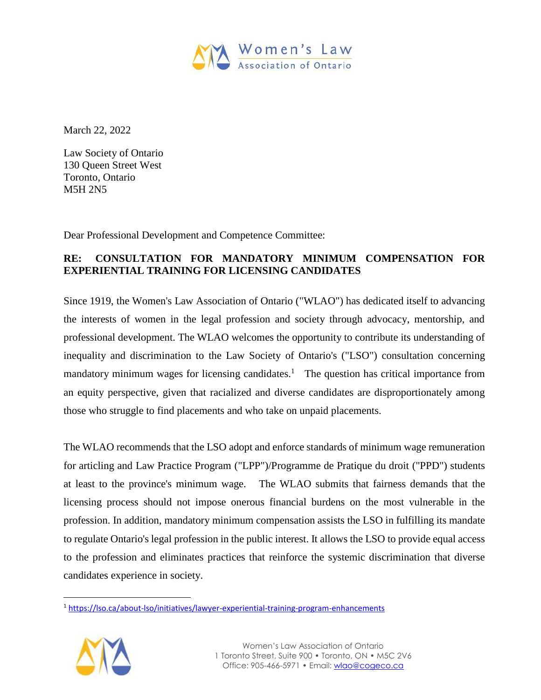

March 22, 2022

Law Society of Ontario 130 Queen Street West Toronto, Ontario M5H 2N5

Dear Professional Development and Competence Committee:

# **RE: CONSULTATION FOR MANDATORY MINIMUM COMPENSATION FOR EXPERIENTIAL TRAINING FOR LICENSING CANDIDATES**

Since 1919, the Women's Law Association of Ontario ("WLAO") has dedicated itself to advancing the interests of women in the legal profession and society through advocacy, mentorship, and professional development. The WLAO welcomes the opportunity to contribute its understanding of inequality and discrimination to the Law Society of Ontario's ("LSO") consultation concerning mandatory minimum wages for licensing candidates.<sup>1</sup> The question has critical importance from an equity perspective, given that racialized and diverse candidates are disproportionately among those who struggle to find placements and who take on unpaid placements.

The WLAO recommends that the LSO adopt and enforce standards of minimum wage remuneration for articling and Law Practice Program ("LPP")/Programme de Pratique du droit ("PPD") students at least to the province's minimum wage. The WLAO submits that fairness demands that the licensing process should not impose onerous financial burdens on the most vulnerable in the profession. In addition, mandatory minimum compensation assists the LSO in fulfilling its mandate to regulate Ontario's legal profession in the public interest. It allows the LSO to provide equal access to the profession and eliminates practices that reinforce the systemic discrimination that diverse candidates experience in society.

<sup>&</sup>lt;sup>1</sup> <https://lso.ca/about-lso/initiatives/lawyer-experiential-training-program-enhancements>



 $\ddot{\phantom{a}}$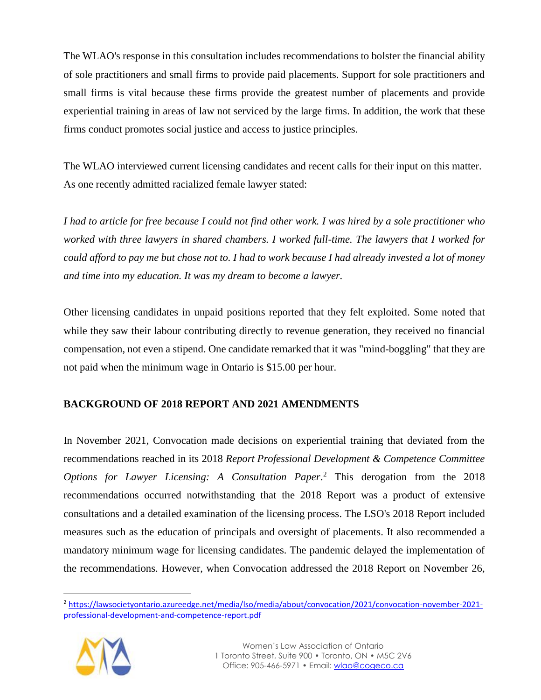The WLAO's response in this consultation includes recommendations to bolster the financial ability of sole practitioners and small firms to provide paid placements. Support for sole practitioners and small firms is vital because these firms provide the greatest number of placements and provide experiential training in areas of law not serviced by the large firms. In addition, the work that these firms conduct promotes social justice and access to justice principles.

The WLAO interviewed current licensing candidates and recent calls for their input on this matter. As one recently admitted racialized female lawyer stated:

*I had to article for free because I could not find other work. I was hired by a sole practitioner who worked with three lawyers in shared chambers. I worked full-time. The lawyers that I worked for could afford to pay me but chose not to. I had to work because I had already invested a lot of money and time into my education. It was my dream to become a lawyer.* 

Other licensing candidates in unpaid positions reported that they felt exploited. Some noted that while they saw their labour contributing directly to revenue generation, they received no financial compensation, not even a stipend. One candidate remarked that it was "mind-boggling" that they are not paid when the minimum wage in Ontario is \$15.00 per hour.

# **BACKGROUND OF 2018 REPORT AND 2021 AMENDMENTS**

In November 2021, Convocation made decisions on experiential training that deviated from the recommendations reached in its 2018 *Report Professional Development & Competence Committee Options for Lawyer Licensing: A Consultation Paper*. <sup>2</sup> This derogation from the 2018 recommendations occurred notwithstanding that the 2018 Report was a product of extensive consultations and a detailed examination of the licensing process. The LSO's 2018 Report included measures such as the education of principals and oversight of placements. It also recommended a mandatory minimum wage for licensing candidates. The pandemic delayed the implementation of the recommendations. However, when Convocation addressed the 2018 Report on November 26,

<sup>2</sup> [https://lawsocietyontario.azureedge.net/media/lso/media/about/convocation/2021/convocation-november-2021](https://lawsocietyontario.azureedge.net/media/lso/media/about/convocation/2021/convocation-november-2021-professional-development-and-competence-report.pdf) [professional-development-and-competence-report.pdf](https://lawsocietyontario.azureedge.net/media/lso/media/about/convocation/2021/convocation-november-2021-professional-development-and-competence-report.pdf)

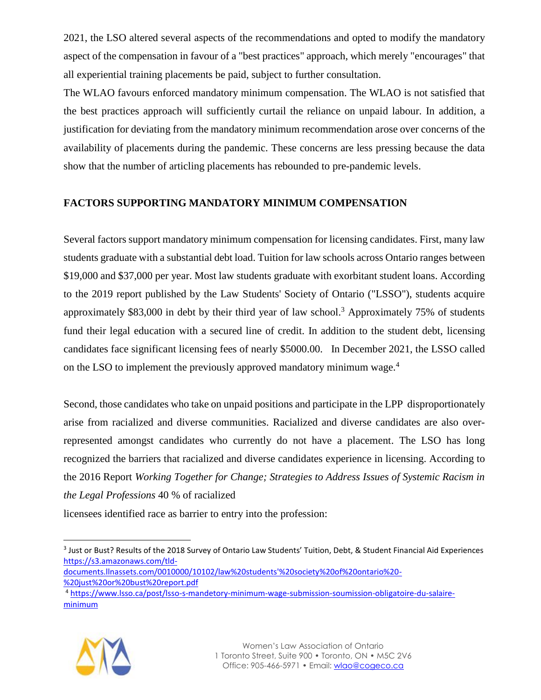2021, the LSO altered several aspects of the recommendations and opted to modify the mandatory aspect of the compensation in favour of a "best practices" approach, which merely "encourages" that all experiential training placements be paid, subject to further consultation.

The WLAO favours enforced mandatory minimum compensation. The WLAO is not satisfied that the best practices approach will sufficiently curtail the reliance on unpaid labour. In addition, a justification for deviating from the mandatory minimum recommendation arose over concerns of the availability of placements during the pandemic. These concerns are less pressing because the data show that the number of articling placements has rebounded to pre-pandemic levels.

# **FACTORS SUPPORTING MANDATORY MINIMUM COMPENSATION**

Several factors support mandatory minimum compensation for licensing candidates. First, many law students graduate with a substantial debt load. Tuition for law schools across Ontario ranges between \$19,000 and \$37,000 per year. Most law students graduate with exorbitant student loans. According to the 2019 report published by the Law Students' Society of Ontario ("LSSO"), students acquire approximately \$83,000 in debt by their third year of law school.<sup>3</sup> Approximately 75% of students fund their legal education with a secured line of credit. In addition to the student debt, licensing candidates face significant licensing fees of nearly \$5000.00. In December 2021, the LSSO called on the LSO to implement the previously approved mandatory minimum wage.<sup>4</sup>

Second, those candidates who take on unpaid positions and participate in the LPP disproportionately arise from racialized and diverse communities. Racialized and diverse candidates are also overrepresented amongst candidates who currently do not have a placement. The LSO has long recognized the barriers that racialized and diverse candidates experience in licensing. According to the 2016 Report *Working Together for Change; Strategies to Address Issues of Systemic Racism in the Legal Professions* 40 % of racialized

licensees identified race as barrier to entry into the profession:

[documents.llnassets.com/0010000/10102/law%20students'%20society%20of%20ontario%20-](https://s3.amazonaws.com/tld-documents.llnassets.com/0010000/10102/law%20students) [%20just%20or%20bust%20report.pdf](https://s3.amazonaws.com/tld-documents.llnassets.com/0010000/10102/law%20students)

<sup>4</sup> [https://www.lsso.ca/post/lsso-s-mandetory-minimum-wage-submission-soumission-obligatoire-du-salaire](https://www.lsso.ca/post/lsso-s-mandetory-minimum-wage-submission-soumission-obligatoire-du-salaire-minimum)[minimum](https://www.lsso.ca/post/lsso-s-mandetory-minimum-wage-submission-soumission-obligatoire-du-salaire-minimum)



<sup>&</sup>lt;sup>3</sup> Just or Bust? Results of the 2018 Survey of Ontario Law Students' Tuition, Debt, & Student Financial Aid Experiences [https://s3.amazonaws.com/tld-](https://s3.amazonaws.com/tld-documents.llnassets.com/0010000/10102/law%20students)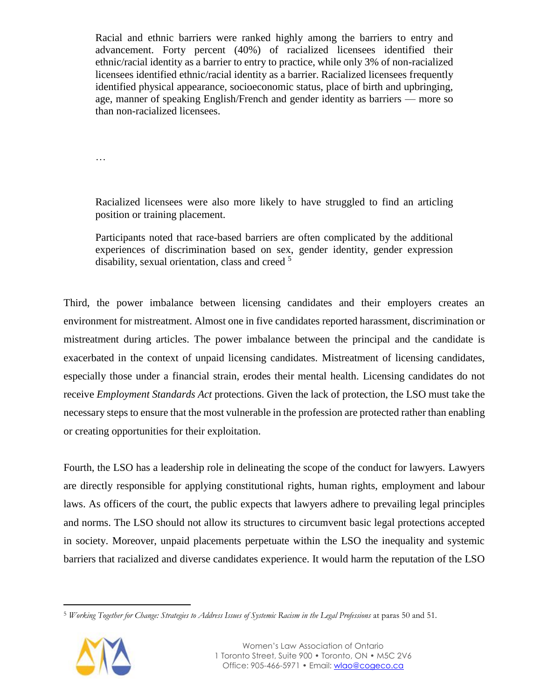Racial and ethnic barriers were ranked highly among the barriers to entry and advancement. Forty percent (40%) of racialized licensees identified their ethnic/racial identity as a barrier to entry to practice, while only 3% of non-racialized licensees identified ethnic/racial identity as a barrier. Racialized licensees frequently identified physical appearance, socioeconomic status, place of birth and upbringing, age, manner of speaking English/French and gender identity as barriers — more so than non-racialized licensees.

…

Racialized licensees were also more likely to have struggled to find an articling position or training placement.

Participants noted that race-based barriers are often complicated by the additional experiences of discrimination based on sex, gender identity, gender expression disability, sexual orientation, class and creed <sup>5</sup>

Third, the power imbalance between licensing candidates and their employers creates an environment for mistreatment. Almost one in five candidates reported harassment, discrimination or mistreatment during articles. The power imbalance between the principal and the candidate is exacerbated in the context of unpaid licensing candidates. Mistreatment of licensing candidates, especially those under a financial strain, erodes their mental health. Licensing candidates do not receive *Employment Standards Act* protections. Given the lack of protection, the LSO must take the necessary steps to ensure that the most vulnerable in the profession are protected rather than enabling or creating opportunities for their exploitation.

Fourth, the LSO has a leadership role in delineating the scope of the conduct for lawyers. Lawyers are directly responsible for applying constitutional rights, human rights, employment and labour laws. As officers of the court, the public expects that lawyers adhere to prevailing legal principles and norms. The LSO should not allow its structures to circumvent basic legal protections accepted in society. Moreover, unpaid placements perpetuate within the LSO the inequality and systemic barriers that racialized and diverse candidates experience. It would harm the reputation of the LSO

<sup>5</sup> *Working Together for Change: Strategies to Address Issues of Systemic Racism in the Legal Professions* at paras 50 and 51*.* 

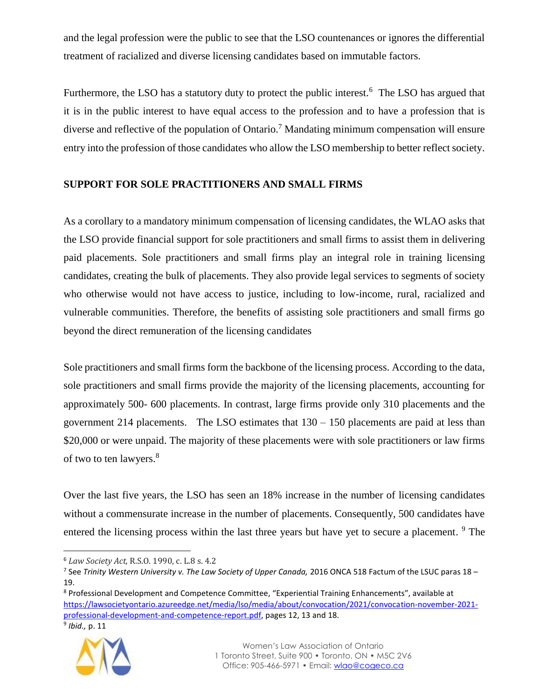and the legal profession were the public to see that the LSO countenances or ignores the differential treatment of racialized and diverse licensing candidates based on immutable factors.

Furthermore, the LSO has a statutory duty to protect the public interest.<sup>6</sup> The LSO has argued that it is in the public interest to have equal access to the profession and to have a profession that is diverse and reflective of the population of Ontario.<sup>7</sup> Mandating minimum compensation will ensure entry into the profession of those candidates who allow the LSO membership to better reflect society.

#### **SUPPORT FOR SOLE PRACTITIONERS AND SMALL FIRMS**

As a corollary to a mandatory minimum compensation of licensing candidates, the WLAO asks that the LSO provide financial support for sole practitioners and small firms to assist them in delivering paid placements. Sole practitioners and small firms play an integral role in training licensing candidates, creating the bulk of placements. They also provide legal services to segments of society who otherwise would not have access to justice, including to low-income, rural, racialized and vulnerable communities. Therefore, the benefits of assisting sole practitioners and small firms go beyond the direct remuneration of the licensing candidates

Sole practitioners and small firms form the backbone of the licensing process. According to the data, sole practitioners and small firms provide the majority of the licensing placements, accounting for approximately 500- 600 placements. In contrast, large firms provide only 310 placements and the government 214 placements. The LSO estimates that  $130 - 150$  placements are paid at less than \$20,000 or were unpaid. The majority of these placements were with sole practitioners or law firms of two to ten lawyers.<sup>8</sup>

Over the last five years, the LSO has seen an 18% increase in the number of licensing candidates without a commensurate increase in the number of placements. Consequently, 500 candidates have entered the licensing process within the last three years but have yet to secure a placement. <sup>9</sup> The



<sup>6</sup> *Law Society Act,* R.S.O. 1990, c. L.8 s. 4.2

<sup>7</sup> See *Trinity Western University v. The Law Society of Upper Canada,* 2016 ONCA 518 Factum of the LSUC paras 18 – 19.

<sup>8</sup> Professional Development and Competence Committee, "Experiential Training Enhancements", available at [https://lawsocietyontario.azureedge.net/media/lso/media/about/convocation/2021/convocation-november-2021](https://lawsocietyontario.azureedge.net/media/lso/media/about/convocation/2021/convocation-november-2021-professional-development-and-competence-report.pdf) [professional-development-and-competence-report.pdf,](https://lawsocietyontario.azureedge.net/media/lso/media/about/convocation/2021/convocation-november-2021-professional-development-and-competence-report.pdf) pages 12, 13 and 18.

<sup>9</sup> *Ibid.,* p. 11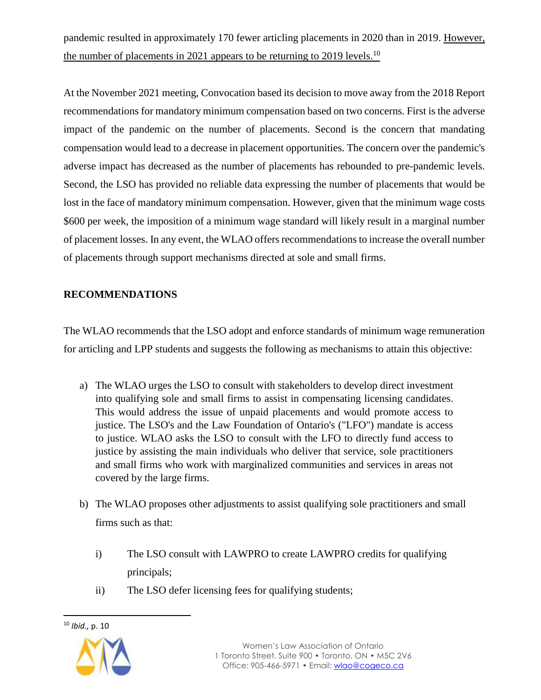pandemic resulted in approximately 170 fewer articling placements in 2020 than in 2019. However, the number of placements in 2021 appears to be returning to 2019 levels.<sup>10</sup>

At the November 2021 meeting, Convocation based its decision to move away from the 2018 Report recommendations for mandatory minimum compensation based on two concerns. First is the adverse impact of the pandemic on the number of placements. Second is the concern that mandating compensation would lead to a decrease in placement opportunities. The concern over the pandemic's adverse impact has decreased as the number of placements has rebounded to pre-pandemic levels. Second, the LSO has provided no reliable data expressing the number of placements that would be lost in the face of mandatory minimum compensation. However, given that the minimum wage costs \$600 per week, the imposition of a minimum wage standard will likely result in a marginal number of placement losses. In any event, the WLAO offers recommendations to increase the overall number of placements through support mechanisms directed at sole and small firms.

# **RECOMMENDATIONS**

The WLAO recommends that the LSO adopt and enforce standards of minimum wage remuneration for articling and LPP students and suggests the following as mechanisms to attain this objective:

- a) The WLAO urges the LSO to consult with stakeholders to develop direct investment into qualifying sole and small firms to assist in compensating licensing candidates. This would address the issue of unpaid placements and would promote access to justice. The LSO's and the Law Foundation of Ontario's ("LFO") mandate is access to justice. WLAO asks the LSO to consult with the LFO to directly fund access to justice by assisting the main individuals who deliver that service, sole practitioners and small firms who work with marginalized communities and services in areas not covered by the large firms.
- b) The WLAO proposes other adjustments to assist qualifying sole practitioners and small firms such as that:
	- i) The LSO consult with LAWPRO to create LAWPRO credits for qualifying principals;
	- ii) The LSO defer licensing fees for qualifying students;



<sup>10</sup> *Ibid.,* p. 10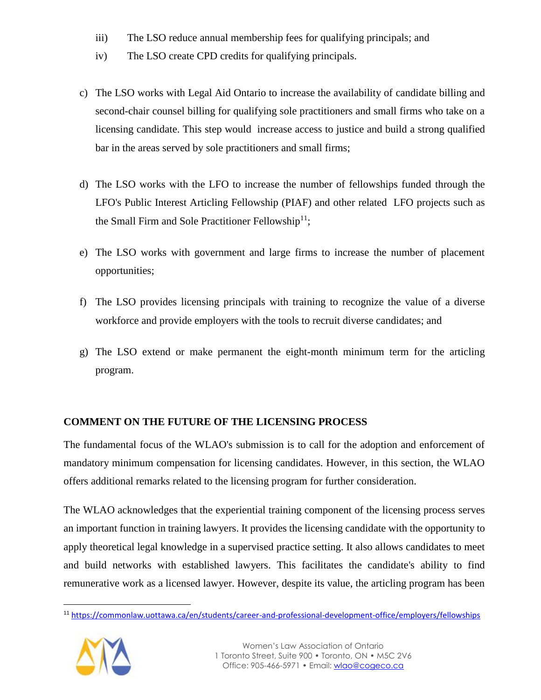- iii) The LSO reduce annual membership fees for qualifying principals; and
- iv) The LSO create CPD credits for qualifying principals.
- c) The LSO works with Legal Aid Ontario to increase the availability of candidate billing and second-chair counsel billing for qualifying sole practitioners and small firms who take on a licensing candidate. This step would increase access to justice and build a strong qualified bar in the areas served by sole practitioners and small firms;
- d) The LSO works with the LFO to increase the number of fellowships funded through the LFO's Public Interest Articling Fellowship (PIAF) and other related LFO projects such as th[e](https://commonlaw.uottawa.ca/en/students/career-and-professional-development-office/employers/fellowships) Small Firm and Sole Practitioner Fellowship<sup>11</sup>;
- e) The LSO works with government and large firms to increase the number of placement opportunities;
- f) The LSO provides licensing principals with training to recognize the value of a diverse workforce and provide employers with the tools to recruit diverse candidates; and
- g) The LSO extend or make permanent the eight-month minimum term for the articling program.

# **COMMENT ON THE FUTURE OF THE LICENSING PROCESS**

The fundamental focus of the WLAO's submission is to call for the adoption and enforcement of mandatory minimum compensation for licensing candidates. However, in this section, the WLAO offers additional remarks related to the licensing program for further consideration.

The WLAO acknowledges that the experiential training component of the licensing process serves an important function in training lawyers. It provides the licensing candidate with the opportunity to apply theoretical legal knowledge in a supervised practice setting. It also allows candidates to meet and build networks with established lawyers. This facilitates the candidate's ability to find remunerative work as a licensed lawyer. However, despite its value, the articling program has been

 $\ddot{\phantom{a}}$ <sup>11</sup> <https://commonlaw.uottawa.ca/en/students/career-and-professional-development-office/employers/fellowships>

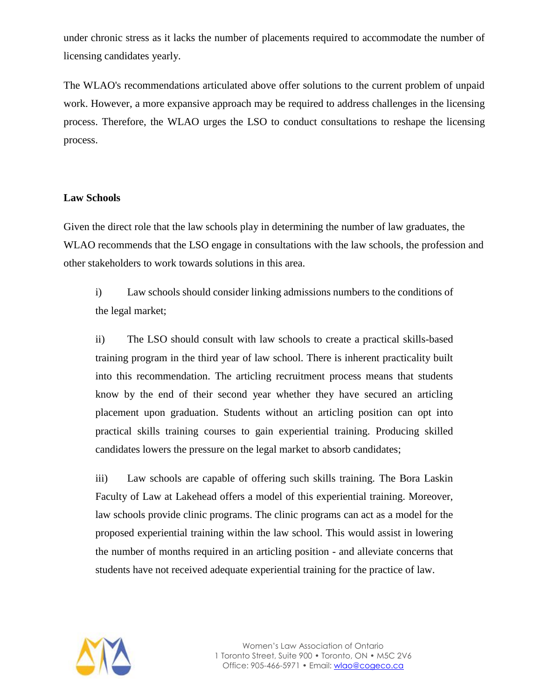under chronic stress as it lacks the number of placements required to accommodate the number of licensing candidates yearly.

The WLAO's recommendations articulated above offer solutions to the current problem of unpaid work. However, a more expansive approach may be required to address challenges in the licensing process. Therefore, the WLAO urges the LSO to conduct consultations to reshape the licensing process.

#### **Law Schools**

Given the direct role that the law schools play in determining the number of law graduates, the WLAO recommends that the LSO engage in consultations with the law schools, the profession and other stakeholders to work towards solutions in this area.

i) Law schools should consider linking admissions numbers to the conditions of the legal market;

ii) The LSO should consult with law schools to create a practical skills-based training program in the third year of law school. There is inherent practicality built into this recommendation. The articling recruitment process means that students know by the end of their second year whether they have secured an articling placement upon graduation. Students without an articling position can opt into practical skills training courses to gain experiential training. Producing skilled candidates lowers the pressure on the legal market to absorb candidates;

iii) Law schools are capable of offering such skills training. The Bora Laskin Faculty of Law at Lakehead offers a model of this experiential training. Moreover, law schools provide clinic programs. The clinic programs can act as a model for the proposed experiential training within the law school. This would assist in lowering the number of months required in an articling position - and alleviate concerns that students have not received adequate experiential training for the practice of law.

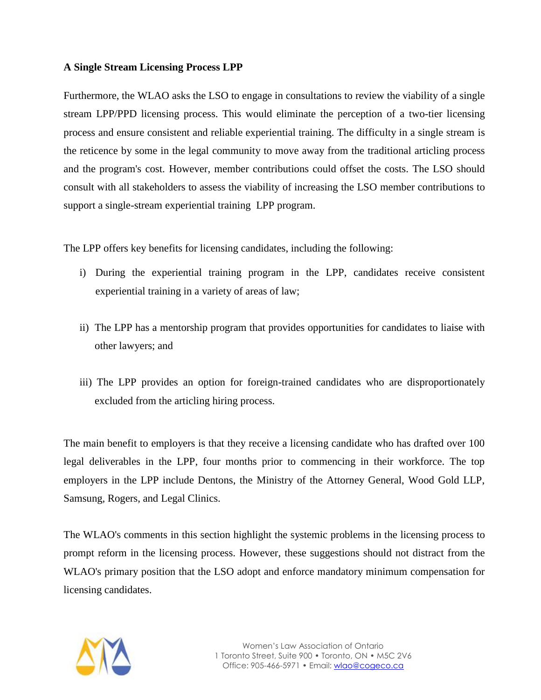#### **A Single Stream Licensing Process LPP**

Furthermore, the WLAO asks the LSO to engage in consultations to review the viability of a single stream LPP/PPD licensing process. This would eliminate the perception of a two-tier licensing process and ensure consistent and reliable experiential training. The difficulty in a single stream is the reticence by some in the legal community to move away from the traditional articling process and the program's cost. However, member contributions could offset the costs. The LSO should consult with all stakeholders to assess the viability of increasing the LSO member contributions to support a single-stream experiential training LPP program.

The LPP offers key benefits for licensing candidates, including the following:

- i) During the experiential training program in the LPP, candidates receive consistent experiential training in a variety of areas of law;
- ii) The LPP has a mentorship program that provides opportunities for candidates to liaise with other lawyers; and
- iii) The LPP provides an option for foreign-trained candidates who are disproportionately excluded from the articling hiring process.

The main benefit to employers is that they receive a licensing candidate who has drafted over 100 legal deliverables in the LPP, four months prior to commencing in their workforce. The top employers in the LPP include Dentons, the Ministry of the Attorney General, Wood Gold LLP, Samsung, Rogers, and Legal Clinics.

The WLAO's comments in this section highlight the systemic problems in the licensing process to prompt reform in the licensing process. However, these suggestions should not distract from the WLAO's primary position that the LSO adopt and enforce mandatory minimum compensation for licensing candidates.